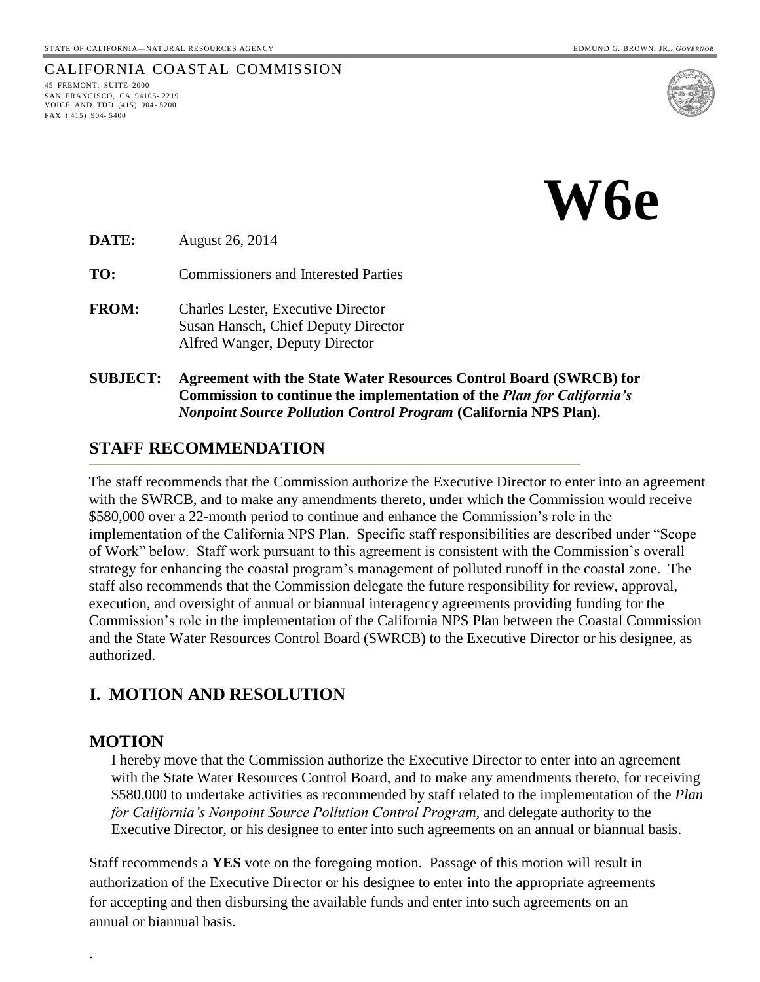#### CALIFORNIA COASTAL COMMISSION

45 FREMONT, SUITE 2000 SAN FRANCISCO, CA 94105- 2219 VOICE AND TDD (415) 904- 5200 FAX ( 415) 904- 5400



**W6e**

**DATE:** August 26, 2014

**TO:** Commissioners and Interested Parties

- **FROM:** Charles Lester, Executive Director Susan Hansch, Chief Deputy Director Alfred Wanger, Deputy Director
- **SUBJECT: Agreement with the State Water Resources Control Board (SWRCB) for Commission to continue the implementation of the** *Plan for California's Nonpoint Source Pollution Control Program* **(California NPS Plan).**

## **STAFF RECOMMENDATION**

The staff recommends that the Commission authorize the Executive Director to enter into an agreement with the SWRCB, and to make any amendments thereto, under which the Commission would receive \$580,000 over a 22-month period to continue and enhance the Commission's role in the implementation of the California NPS Plan. Specific staff responsibilities are described under "Scope of Work" below. Staff work pursuant to this agreement is consistent with the Commission's overall strategy for enhancing the coastal program's management of polluted runoff in the coastal zone. The staff also recommends that the Commission delegate the future responsibility for review, approval, execution, and oversight of annual or biannual interagency agreements providing funding for the Commission's role in the implementation of the California NPS Plan between the Coastal Commission and the State Water Resources Control Board (SWRCB) to the Executive Director or his designee, as authorized.

### **I. MOTION AND RESOLUTION**

#### **MOTION**

.

I hereby move that the Commission authorize the Executive Director to enter into an agreement with the State Water Resources Control Board, and to make any amendments thereto, for receiving \$580,000 to undertake activities as recommended by staff related to the implementation of the *Plan for California's Nonpoint Source Pollution Control Program,* and delegate authority to the Executive Director, or his designee to enter into such agreements on an annual or biannual basis.

Staff recommends a **YES** vote on the foregoing motion. Passage of this motion will result in authorization of the Executive Director or his designee to enter into the appropriate agreements for accepting and then disbursing the available funds and enter into such agreements on an annual or biannual basis.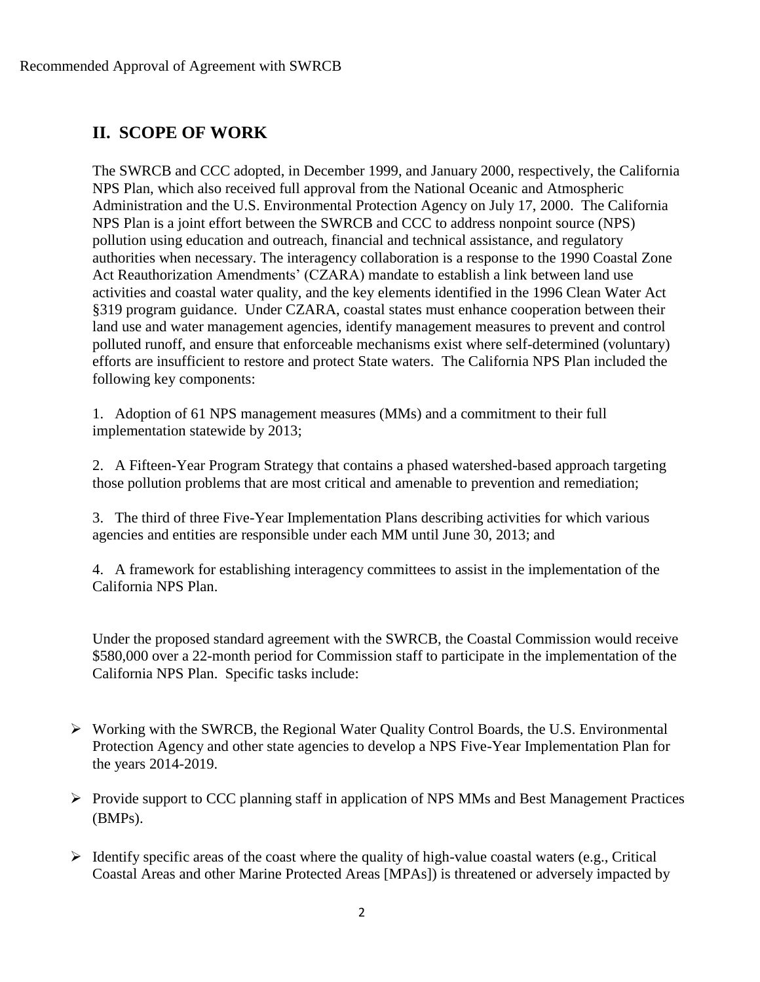# **II. SCOPE OF WORK**

The SWRCB and CCC adopted, in December 1999, and January 2000, respectively, the California NPS Plan, which also received full approval from the National Oceanic and Atmospheric Administration and the U.S. Environmental Protection Agency on July 17, 2000. The California NPS Plan is a joint effort between the SWRCB and CCC to address nonpoint source (NPS) pollution using education and outreach, financial and technical assistance, and regulatory authorities when necessary. The interagency collaboration is a response to the 1990 Coastal Zone Act Reauthorization Amendments' (CZARA) mandate to establish a link between land use activities and coastal water quality, and the key elements identified in the 1996 Clean Water Act §319 program guidance. Under CZARA, coastal states must enhance cooperation between their land use and water management agencies, identify management measures to prevent and control polluted runoff, and ensure that enforceable mechanisms exist where self-determined (voluntary) efforts are insufficient to restore and protect State waters. The California NPS Plan included the following key components:

1. Adoption of 61 NPS management measures (MMs) and a commitment to their full implementation statewide by 2013;

2. A Fifteen-Year Program Strategy that contains a phased watershed-based approach targeting those pollution problems that are most critical and amenable to prevention and remediation;

3. The third of three Five-Year Implementation Plans describing activities for which various agencies and entities are responsible under each MM until June 30, 2013; and

4. A framework for establishing interagency committees to assist in the implementation of the California NPS Plan.

Under the proposed standard agreement with the SWRCB, the Coastal Commission would receive \$580,000 over a 22-month period for Commission staff to participate in the implementation of the California NPS Plan. Specific tasks include:

- Working with the SWRCB, the Regional Water Quality Control Boards, the U.S. Environmental Protection Agency and other state agencies to develop a NPS Five-Year Implementation Plan for the years 2014-2019.
- $\triangleright$  Provide support to CCC planning staff in application of NPS MMs and Best Management Practices (BMPs).
- $\triangleright$  Identify specific areas of the coast where the quality of high-value coastal waters (e.g., Critical Coastal Areas and other Marine Protected Areas [MPAs]) is threatened or adversely impacted by